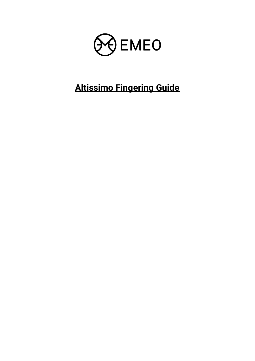

## **Altissimo Fingering Guide**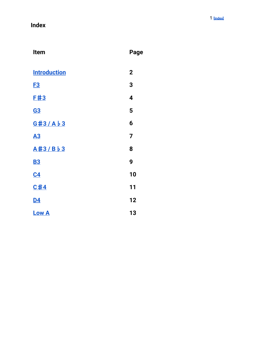## <span id="page-1-0"></span>**I n d e x**

| Item                | Page        |
|---------------------|-------------|
| <b>Introduction</b> | $\mathbf 2$ |
| <u>F3</u>           | 3           |
| <u>E#3</u>          | 4           |
| <b>G3</b>           | 5           |
| G#3/Ab3             | 6           |
| <b>A3</b>           | 7           |
| A#3/Bb3             | 8           |
| <b>B3</b>           | 9           |
| C <sub>4</sub>      | 10          |
| C#4                 | 11          |
| <u>D4</u>           | 12          |
| <b>Low A</b>        | 13          |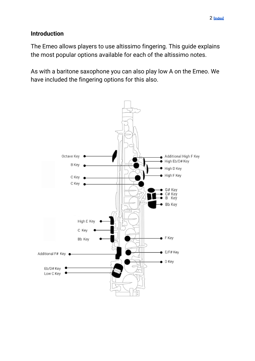## <span id="page-2-0"></span>**Introduction**

The Emeo allows players to use altissimo fingering. This guide explains the most popular options available for each of the altissimo notes.

As with a baritone saxophone you can also play low A on the Emeo. We have included the fingering options for this also.

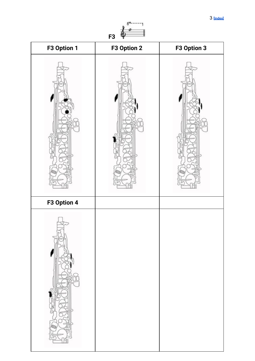<span id="page-3-0"></span>

| F3 Option 1 | F3 Option 2 | F3 Option 3 |
|-------------|-------------|-------------|
|             |             |             |
| F3 Option 4 |             |             |
|             |             |             |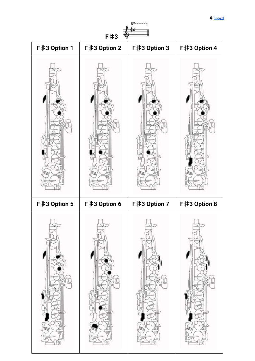<span id="page-4-0"></span>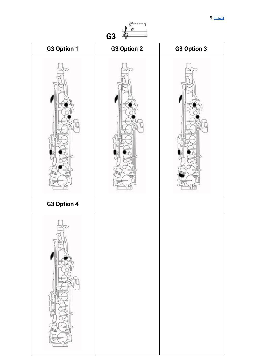<span id="page-5-0"></span>

| G3 Option 1 | G3 Option 2 | G3 Option 3 |
|-------------|-------------|-------------|
|             |             |             |
| G3 Option 4 |             |             |
|             |             |             |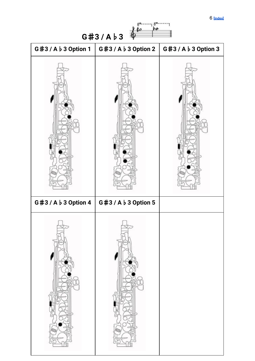6 **[\[index\]](#page-1-0)**

<span id="page-6-0"></span>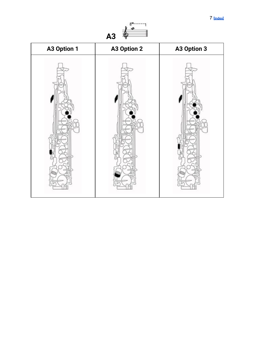<span id="page-7-0"></span>

| A3 Option 1 | A3 Option 2 | A3 Option 3 |
|-------------|-------------|-------------|
|             |             |             |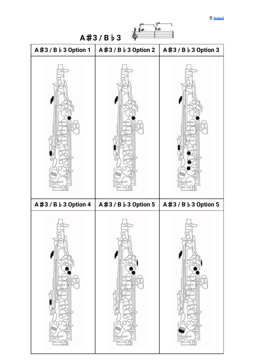8 **[\[index\]](#page-1-0)**

<span id="page-8-0"></span>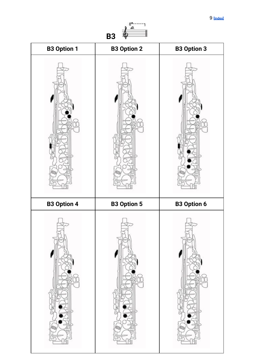<span id="page-9-0"></span>

| <b>B3 Option 1</b> | <b>B3 Option 2</b> | <b>B3 Option 3</b> |
|--------------------|--------------------|--------------------|
|                    |                    |                    |
| <b>B3 Option 4</b> | <b>B3 Option 5</b> | <b>B3 Option 6</b> |
|                    |                    |                    |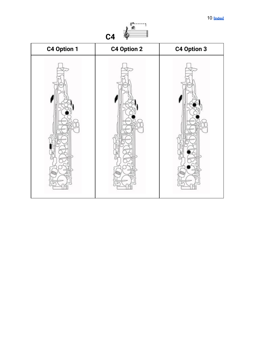<span id="page-10-0"></span>

| C4 Option 1 | C4 Option 2 | C4 Option 3 |
|-------------|-------------|-------------|
|             |             |             |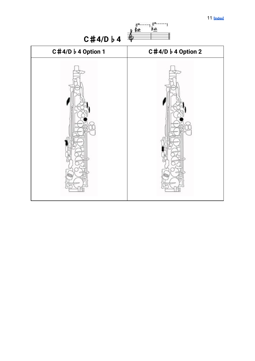11 **[\[index\]](#page-1-0)**

<span id="page-11-0"></span>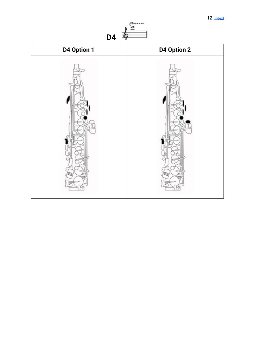

<span id="page-12-0"></span>